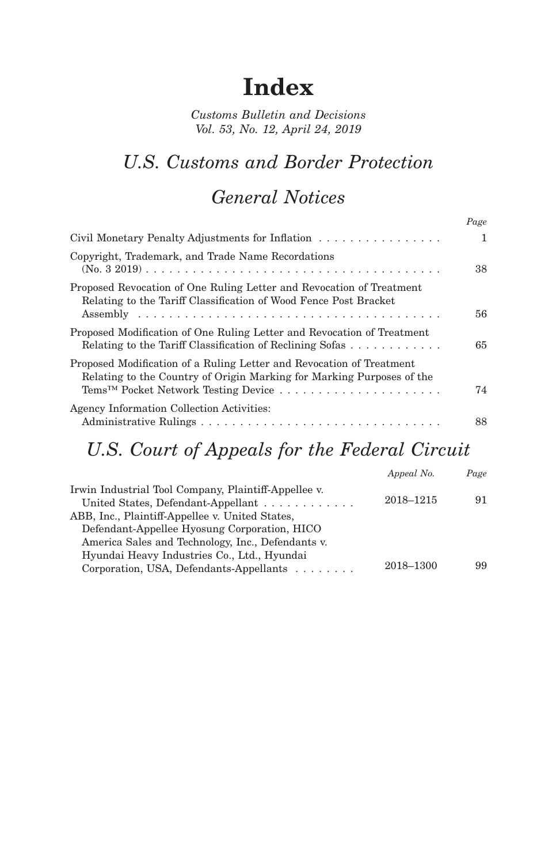# **Index**

*Customs Bulletin and Decisions Vol. 53, No. 12, April 24, 2019*

### *U.S. Customs and Border Protection*

#### *General Notices*

|                                                                                                                                                              | Page         |
|--------------------------------------------------------------------------------------------------------------------------------------------------------------|--------------|
| Civil Monetary Penalty Adjustments for Inflation                                                                                                             | $\mathbf{1}$ |
| Copyright, Trademark, and Trade Name Recordations                                                                                                            | 38           |
| Proposed Revocation of One Ruling Letter and Revocation of Treatment<br>Relating to the Tariff Classification of Wood Fence Post Bracket                     | 56           |
| Proposed Modification of One Ruling Letter and Revocation of Treatment<br>Relating to the Tariff Classification of Reclining Sofas $\dots \dots \dots \dots$ | 65           |
| Proposed Modification of a Ruling Letter and Revocation of Treatment<br>Relating to the Country of Origin Marking for Marking Purposes of the                | 74           |
| Agency Information Collection Activities:                                                                                                                    | 88           |

## *U.S. Court of Appeals for the Federal Circuit*

| Appeal No. | Page |
|------------|------|
| 2018-1215  | 91   |
|            |      |
|            |      |
|            |      |
| 2018-1300  | 99   |
|            |      |